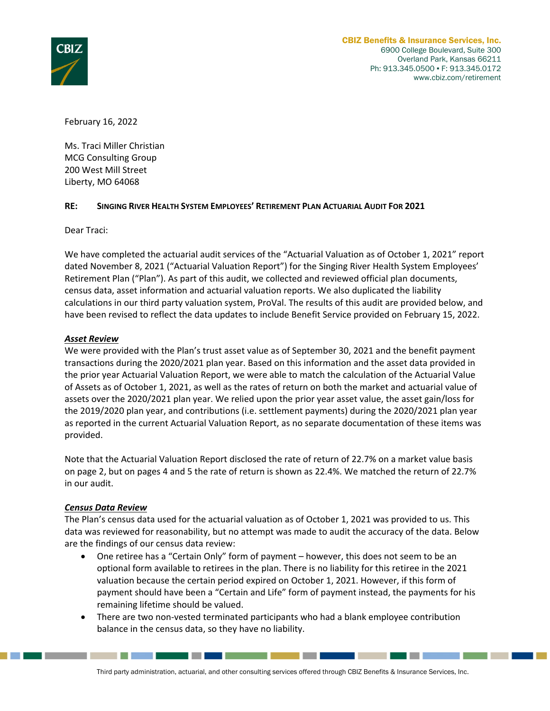

a da barran da barran da barran da barran da barran da baile a baile a bhail an bhail an t-ainm an bhail an bh

February 16, 2022

Ms. Traci Miller Christian MCG Consulting Group 200 West Mill Street Liberty, MO 64068

### **RE: SINGING RIVER HEALTH SYSTEM EMPLOYEES' RETIREMENT PLAN ACTUARIAL AUDIT FOR 2021**

Dear Traci:

We have completed the actuarial audit services of the "Actuarial Valuation as of October 1, 2021" report dated November 8, 2021 ("Actuarial Valuation Report") for the Singing River Health System Employees' Retirement Plan ("Plan"). As part of this audit, we collected and reviewed official plan documents, census data, asset information and actuarial valuation reports. We also duplicated the liability calculations in our third party valuation system, ProVal. The results of this audit are provided below, and have been revised to reflect the data updates to include Benefit Service provided on February 15, 2022.

### *Asset Review*

We were provided with the Plan's trust asset value as of September 30, 2021 and the benefit payment transactions during the 2020/2021 plan year. Based on this information and the asset data provided in the prior year Actuarial Valuation Report, we were able to match the calculation of the Actuarial Value of Assets as of October 1, 2021, as well as the rates of return on both the market and actuarial value of assets over the 2020/2021 plan year. We relied upon the prior year asset value, the asset gain/loss for the 2019/2020 plan year, and contributions (i.e. settlement payments) during the 2020/2021 plan year as reported in the current Actuarial Valuation Report, as no separate documentation of these items was provided.

Note that the Actuarial Valuation Report disclosed the rate of return of 22.7% on a market value basis on page 2, but on pages 4 and 5 the rate of return is shown as 22.4%. We matched the return of 22.7% in our audit.

#### *Census Data Review*

The Plan's census data used for the actuarial valuation as of October 1, 2021 was provided to us. This data was reviewed for reasonability, but no attempt was made to audit the accuracy of the data. Below are the findings of our census data review:

- One retiree has a "Certain Only" form of payment however, this does not seem to be an optional form available to retirees in the plan. There is no liability for this retiree in the 2021 valuation because the certain period expired on October 1, 2021. However, if this form of payment should have been a "Certain and Life" form of payment instead, the payments for his remaining lifetime should be valued.
- There are two non-vested terminated participants who had a blank employee contribution balance in the census data, so they have no liability.

<u> Tanzania (m. 1858)</u>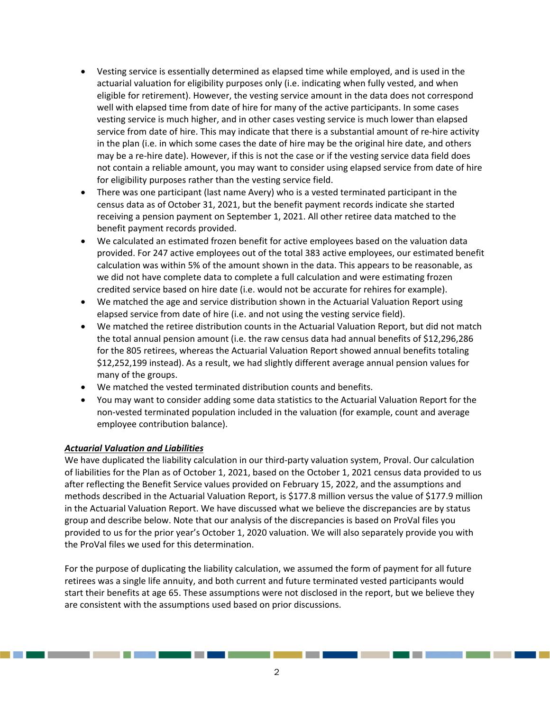- Vesting service is essentially determined as elapsed time while employed, and is used in the actuarial valuation for eligibility purposes only (i.e. indicating when fully vested, and when eligible for retirement). However, the vesting service amount in the data does not correspond well with elapsed time from date of hire for many of the active participants. In some cases vesting service is much higher, and in other cases vesting service is much lower than elapsed service from date of hire. This may indicate that there is a substantial amount of re-hire activity in the plan (i.e. in which some cases the date of hire may be the original hire date, and others may be a re‐hire date). However, if this is not the case or if the vesting service data field does not contain a reliable amount, you may want to consider using elapsed service from date of hire for eligibility purposes rather than the vesting service field.
- There was one participant (last name Avery) who is a vested terminated participant in the census data as of October 31, 2021, but the benefit payment records indicate she started receiving a pension payment on September 1, 2021. All other retiree data matched to the benefit payment records provided.
- We calculated an estimated frozen benefit for active employees based on the valuation data provided. For 247 active employees out of the total 383 active employees, our estimated benefit calculation was within 5% of the amount shown in the data. This appears to be reasonable, as we did not have complete data to complete a full calculation and were estimating frozen credited service based on hire date (i.e. would not be accurate for rehires for example).
- We matched the age and service distribution shown in the Actuarial Valuation Report using elapsed service from date of hire (i.e. and not using the vesting service field).
- We matched the retiree distribution counts in the Actuarial Valuation Report, but did not match the total annual pension amount (i.e. the raw census data had annual benefits of \$12,296,286 for the 805 retirees, whereas the Actuarial Valuation Report showed annual benefits totaling \$12,252,199 instead). As a result, we had slightly different average annual pension values for many of the groups.
- We matched the vested terminated distribution counts and benefits.
- You may want to consider adding some data statistics to the Actuarial Valuation Report for the non‐vested terminated population included in the valuation (for example, count and average employee contribution balance).

## *Actuarial Valuation and Liabilities*

We have duplicated the liability calculation in our third-party valuation system, Proval. Our calculation of liabilities for the Plan as of October 1, 2021, based on the October 1, 2021 census data provided to us after reflecting the Benefit Service values provided on February 15, 2022, and the assumptions and methods described in the Actuarial Valuation Report, is \$177.8 million versus the value of \$177.9 million in the Actuarial Valuation Report. We have discussed what we believe the discrepancies are by status group and describe below. Note that our analysis of the discrepancies is based on ProVal files you provided to us for the prior year's October 1, 2020 valuation. We will also separately provide you with the ProVal files we used for this determination.

For the purpose of duplicating the liability calculation, we assumed the form of payment for all future retirees was a single life annuity, and both current and future terminated vested participants would start their benefits at age 65. These assumptions were not disclosed in the report, but we believe they are consistent with the assumptions used based on prior discussions.

\_\_\_\_\_\_\_\_\_\_\_\_\_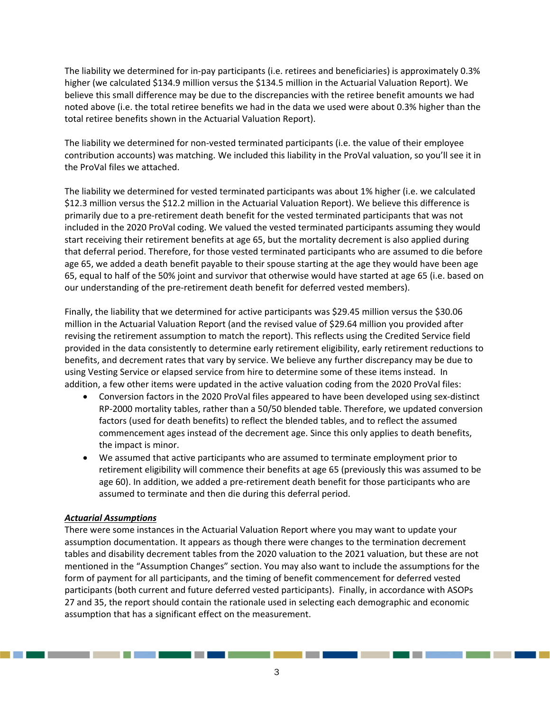The liability we determined for in‐pay participants (i.e. retirees and beneficiaries) is approximately 0.3% higher (we calculated \$134.9 million versus the \$134.5 million in the Actuarial Valuation Report). We believe this small difference may be due to the discrepancies with the retiree benefit amounts we had noted above (i.e. the total retiree benefits we had in the data we used were about 0.3% higher than the total retiree benefits shown in the Actuarial Valuation Report).

The liability we determined for non-vested terminated participants (i.e. the value of their employee contribution accounts) was matching. We included this liability in the ProVal valuation, so you'll see it in the ProVal files we attached.

The liability we determined for vested terminated participants was about 1% higher (i.e. we calculated \$12.3 million versus the \$12.2 million in the Actuarial Valuation Report). We believe this difference is primarily due to a pre‐retirement death benefit for the vested terminated participants that was not included in the 2020 ProVal coding. We valued the vested terminated participants assuming they would start receiving their retirement benefits at age 65, but the mortality decrement is also applied during that deferral period. Therefore, for those vested terminated participants who are assumed to die before age 65, we added a death benefit payable to their spouse starting at the age they would have been age 65, equal to half of the 50% joint and survivor that otherwise would have started at age 65 (i.e. based on our understanding of the pre‐retirement death benefit for deferred vested members).

Finally, the liability that we determined for active participants was \$29.45 million versus the \$30.06 million in the Actuarial Valuation Report (and the revised value of \$29.64 million you provided after revising the retirement assumption to match the report). This reflects using the Credited Service field provided in the data consistently to determine early retirement eligibility, early retirement reductions to benefits, and decrement rates that vary by service. We believe any further discrepancy may be due to using Vesting Service or elapsed service from hire to determine some of these items instead. In addition, a few other items were updated in the active valuation coding from the 2020 ProVal files:

- Conversion factors in the 2020 ProVal files appeared to have been developed using sex‐distinct RP‐2000 mortality tables, rather than a 50/50 blended table. Therefore, we updated conversion factors (used for death benefits) to reflect the blended tables, and to reflect the assumed commencement ages instead of the decrement age. Since this only applies to death benefits, the impact is minor.
- We assumed that active participants who are assumed to terminate employment prior to retirement eligibility will commence their benefits at age 65 (previously this was assumed to be age 60). In addition, we added a pre‐retirement death benefit for those participants who are assumed to terminate and then die during this deferral period.

## *Actuarial Assumptions*

There were some instances in the Actuarial Valuation Report where you may want to update your assumption documentation. It appears as though there were changes to the termination decrement tables and disability decrement tables from the 2020 valuation to the 2021 valuation, but these are not mentioned in the "Assumption Changes" section. You may also want to include the assumptions for the form of payment for all participants, and the timing of benefit commencement for deferred vested participants (both current and future deferred vested participants). Finally, in accordance with ASOPs 27 and 35, the report should contain the rationale used in selecting each demographic and economic assumption that has a significant effect on the measurement.

\_\_\_\_\_\_\_\_\_\_\_\_\_\_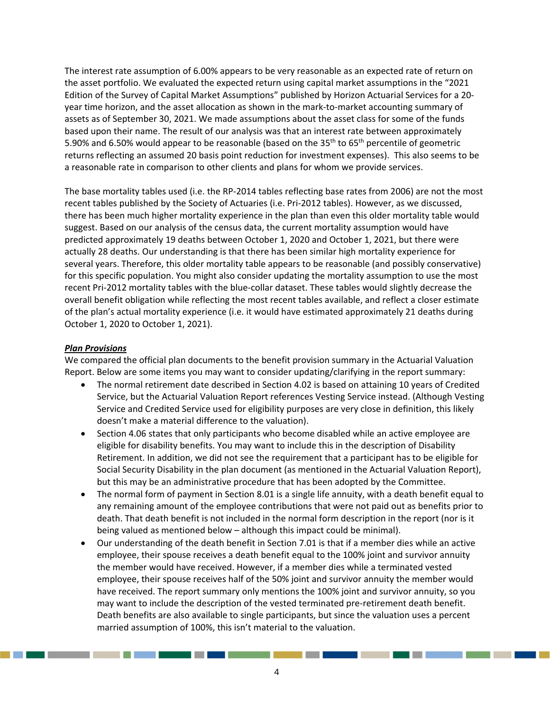The interest rate assumption of 6.00% appears to be very reasonable as an expected rate of return on the asset portfolio. We evaluated the expected return using capital market assumptions in the "2021 Edition of the Survey of Capital Market Assumptions" published by Horizon Actuarial Services for a 20‐ year time horizon, and the asset allocation as shown in the mark‐to‐market accounting summary of assets as of September 30, 2021. We made assumptions about the asset class for some of the funds based upon their name. The result of our analysis was that an interest rate between approximately 5.90% and 6.50% would appear to be reasonable (based on the 35<sup>th</sup> to 65<sup>th</sup> percentile of geometric returns reflecting an assumed 20 basis point reduction for investment expenses). This also seems to be a reasonable rate in comparison to other clients and plans for whom we provide services.

The base mortality tables used (i.e. the RP-2014 tables reflecting base rates from 2006) are not the most recent tables published by the Society of Actuaries (i.e. Pri‐2012 tables). However, as we discussed, there has been much higher mortality experience in the plan than even this older mortality table would suggest. Based on our analysis of the census data, the current mortality assumption would have predicted approximately 19 deaths between October 1, 2020 and October 1, 2021, but there were actually 28 deaths. Our understanding is that there has been similar high mortality experience for several years. Therefore, this older mortality table appears to be reasonable (and possibly conservative) for this specific population. You might also consider updating the mortality assumption to use the most recent Pri‐2012 mortality tables with the blue‐collar dataset. These tables would slightly decrease the overall benefit obligation while reflecting the most recent tables available, and reflect a closer estimate of the plan's actual mortality experience (i.e. it would have estimated approximately 21 deaths during October 1, 2020 to October 1, 2021).

### *Plan Provisions*

We compared the official plan documents to the benefit provision summary in the Actuarial Valuation Report. Below are some items you may want to consider updating/clarifying in the report summary:

- The normal retirement date described in Section 4.02 is based on attaining 10 years of Credited Service, but the Actuarial Valuation Report references Vesting Service instead. (Although Vesting Service and Credited Service used for eligibility purposes are very close in definition, this likely doesn't make a material difference to the valuation).
- Section 4.06 states that only participants who become disabled while an active employee are eligible for disability benefits. You may want to include this in the description of Disability Retirement. In addition, we did not see the requirement that a participant has to be eligible for Social Security Disability in the plan document (as mentioned in the Actuarial Valuation Report), but this may be an administrative procedure that has been adopted by the Committee.
- The normal form of payment in Section 8.01 is a single life annuity, with a death benefit equal to any remaining amount of the employee contributions that were not paid out as benefits prior to death. That death benefit is not included in the normal form description in the report (nor is it being valued as mentioned below – although this impact could be minimal).
- Our understanding of the death benefit in Section 7.01 is that if a member dies while an active employee, their spouse receives a death benefit equal to the 100% joint and survivor annuity the member would have received. However, if a member dies while a terminated vested employee, their spouse receives half of the 50% joint and survivor annuity the member would have received. The report summary only mentions the 100% joint and survivor annuity, so you may want to include the description of the vested terminated pre‐retirement death benefit. Death benefits are also available to single participants, but since the valuation uses a percent married assumption of 100%, this isn't material to the valuation.

. . . . . .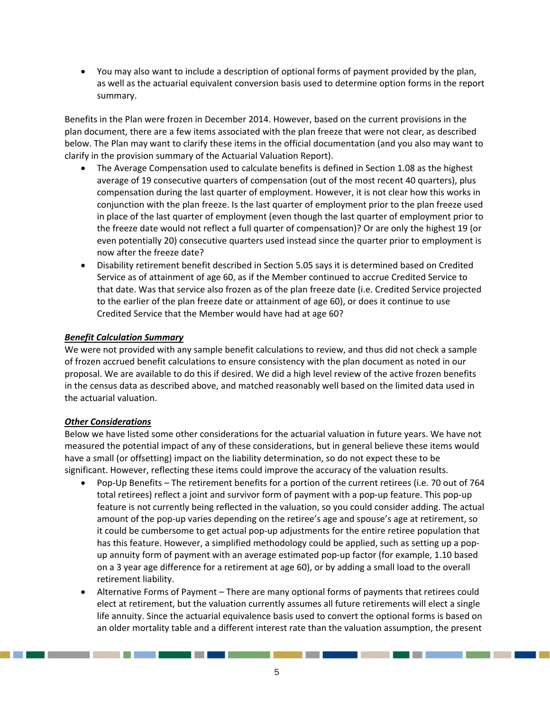You may also want to include a description of optional forms of payment provided by the plan, as well as the actuarial equivalent conversion basis used to determine option forms in the report summary.

Benefits in the Plan were frozen in December 2014. However, based on the current provisions in the plan document, there are a few items associated with the plan freeze that were not clear, as described below. The Plan may want to clarify these items in the official documentation (and you also may want to clarify in the provision summary of the Actuarial Valuation Report).

- The Average Compensation used to calculate benefits is defined in Section 1.08 as the highest average of 19 consecutive quarters of compensation (out of the most recent 40 quarters), plus compensation during the last quarter of employment. However, it is not clear how this works in conjunction with the plan freeze. Is the last quarter of employment prior to the plan freeze used in place of the last quarter of employment (even though the last quarter of employment prior to the freeze date would not reflect a full quarter of compensation)? Or are only the highest 19 (or even potentially 20) consecutive quarters used instead since the quarter prior to employment is now after the freeze date?
- Disability retirement benefit described in Section 5.05 says it is determined based on Credited Service as of attainment of age 60, as if the Member continued to accrue Credited Service to that date. Was that service also frozen as of the plan freeze date (i.e. Credited Service projected to the earlier of the plan freeze date or attainment of age 60), or does it continue to use Credited Service that the Member would have had at age 60?

# *Benefit Calculation Summary*

We were not provided with any sample benefit calculations to review, and thus did not check a sample of frozen accrued benefit calculations to ensure consistency with the plan document as noted in our proposal. We are available to do this if desired. We did a high level review of the active frozen benefits in the census data as described above, and matched reasonably well based on the limited data used in the actuarial valuation.

## *Other Considerations*

Below we have listed some other considerations for the actuarial valuation in future years. We have not measured the potential impact of any of these considerations, but in general believe these items would have a small (or offsetting) impact on the liability determination, so do not expect these to be significant. However, reflecting these items could improve the accuracy of the valuation results.

- Pop‐Up Benefits The retirement benefits for a portion of the current retirees (i.e. 70 out of 764 total retirees) reflect a joint and survivor form of payment with a pop-up feature. This pop-up feature is not currently being reflected in the valuation, so you could consider adding. The actual amount of the pop-up varies depending on the retiree's age and spouse's age at retirement, so it could be cumbersome to get actual pop‐up adjustments for the entire retiree population that has this feature. However, a simplified methodology could be applied, such as setting up a popup annuity form of payment with an average estimated pop‐up factor (for example, 1.10 based on a 3 year age difference for a retirement at age 60), or by adding a small load to the overall retirement liability.
- Alternative Forms of Payment There are many optional forms of payments that retirees could elect at retirement, but the valuation currently assumes all future retirements will elect a single life annuity. Since the actuarial equivalence basis used to convert the optional forms is based on an older mortality table and a different interest rate than the valuation assumption, the present

\_\_\_\_\_

. . . . . .